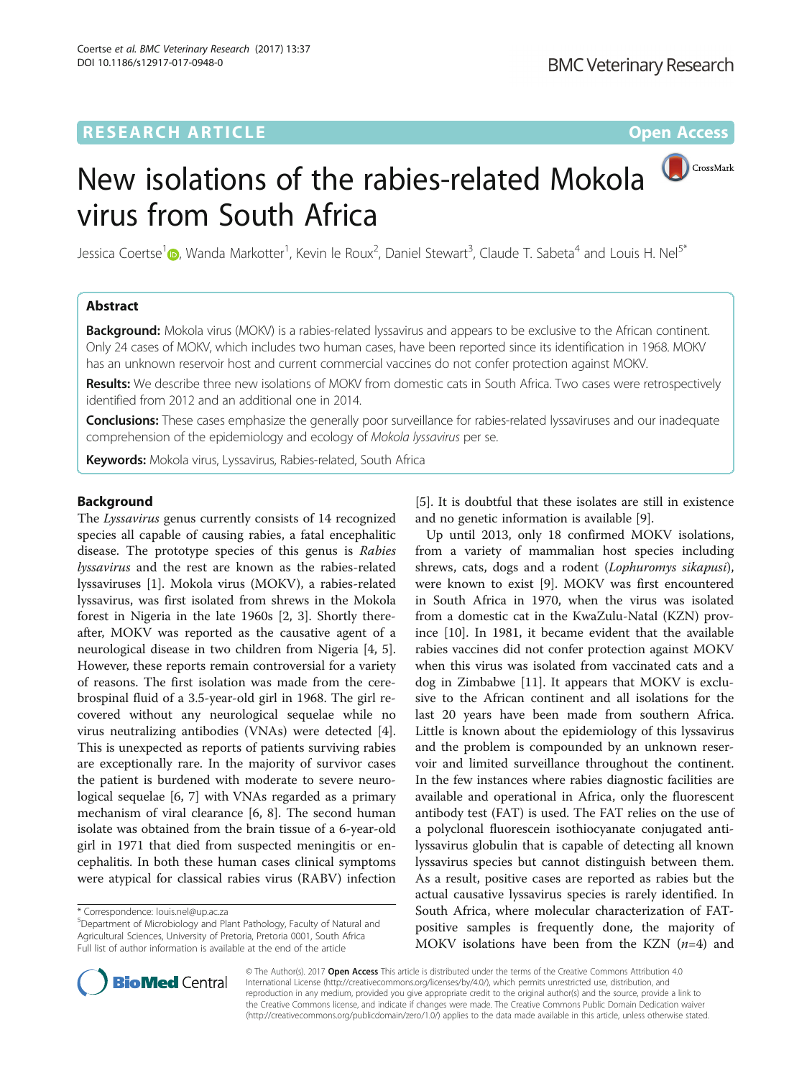# **RESEARCH ARTICLE External Structure Community Community Community Community Community Community Community Community**



Jessica Coertse<sup>1</sup> (D[,](http://orcid.org/0000-0002-8376-6508) Wanda Markotter<sup>1</sup>, Kevin le Roux<sup>2</sup>, Daniel Stewart<sup>3</sup>, Claude T. Sabeta<sup>4</sup> and Louis H. Nel<sup>5\*</sup>

### Abstract

**Background:** Mokola virus (MOKV) is a rabies-related lyssavirus and appears to be exclusive to the African continent. Only 24 cases of MOKV, which includes two human cases, have been reported since its identification in 1968. MOKV has an unknown reservoir host and current commercial vaccines do not confer protection against MOKV.

Results: We describe three new isolations of MOKV from domestic cats in South Africa. Two cases were retrospectively identified from 2012 and an additional one in 2014.

Conclusions: These cases emphasize the generally poor surveillance for rabies-related lyssaviruses and our inadequate comprehension of the epidemiology and ecology of Mokola lyssavirus per se.

Keywords: Mokola virus, Lyssavirus, Rabies-related, South Africa

### Background

The Lyssavirus genus currently consists of 14 recognized species all capable of causing rabies, a fatal encephalitic disease. The prototype species of this genus is Rabies lyssavirus and the rest are known as the rabies-related lyssaviruses [[1\]](#page-6-0). Mokola virus (MOKV), a rabies-related lyssavirus, was first isolated from shrews in the Mokola forest in Nigeria in the late 1960s [\[2](#page-6-0), [3](#page-6-0)]. Shortly thereafter, MOKV was reported as the causative agent of a neurological disease in two children from Nigeria [[4,](#page-6-0) [5](#page-7-0)]. However, these reports remain controversial for a variety of reasons. The first isolation was made from the cerebrospinal fluid of a 3.5-year-old girl in 1968. The girl recovered without any neurological sequelae while no virus neutralizing antibodies (VNAs) were detected [\[4](#page-6-0)]. This is unexpected as reports of patients surviving rabies are exceptionally rare. In the majority of survivor cases the patient is burdened with moderate to severe neurological sequelae [[6, 7](#page-7-0)] with VNAs regarded as a primary mechanism of viral clearance [\[6](#page-7-0), [8\]](#page-7-0). The second human isolate was obtained from the brain tissue of a 6-year-old girl in 1971 that died from suspected meningitis or encephalitis. In both these human cases clinical symptoms were atypical for classical rabies virus (RABV) infection



Up until 2013, only 18 confirmed MOKV isolations, from a variety of mammalian host species including shrews, cats, dogs and a rodent (Lophuromys sikapusi), were known to exist [\[9\]](#page-7-0). MOKV was first encountered in South Africa in 1970, when the virus was isolated from a domestic cat in the KwaZulu-Natal (KZN) province [[10\]](#page-7-0). In 1981, it became evident that the available rabies vaccines did not confer protection against MOKV when this virus was isolated from vaccinated cats and a dog in Zimbabwe [\[11](#page-7-0)]. It appears that MOKV is exclusive to the African continent and all isolations for the last 20 years have been made from southern Africa. Little is known about the epidemiology of this lyssavirus and the problem is compounded by an unknown reservoir and limited surveillance throughout the continent. In the few instances where rabies diagnostic facilities are available and operational in Africa, only the fluorescent antibody test (FAT) is used. The FAT relies on the use of a polyclonal fluorescein isothiocyanate conjugated antilyssavirus globulin that is capable of detecting all known lyssavirus species but cannot distinguish between them. As a result, positive cases are reported as rabies but the actual causative lyssavirus species is rarely identified. In South Africa, where molecular characterization of FATpositive samples is frequently done, the majority of MOKV isolations have been from the KZN  $(n=4)$  and



© The Author(s). 2017 **Open Access** This article is distributed under the terms of the Creative Commons Attribution 4.0 International License [\(http://creativecommons.org/licenses/by/4.0/](http://creativecommons.org/licenses/by/4.0/)), which permits unrestricted use, distribution, and reproduction in any medium, provided you give appropriate credit to the original author(s) and the source, provide a link to the Creative Commons license, and indicate if changes were made. The Creative Commons Public Domain Dedication waiver [\(http://creativecommons.org/publicdomain/zero/1.0/](http://creativecommons.org/publicdomain/zero/1.0/)) applies to the data made available in this article, unless otherwise stated.

<sup>\*</sup> Correspondence: [louis.nel@up.ac.za](mailto:louis.nel@up.ac.za) <sup>5</sup>

Department of Microbiology and Plant Pathology, Faculty of Natural and Agricultural Sciences, University of Pretoria, Pretoria 0001, South Africa Full list of author information is available at the end of the article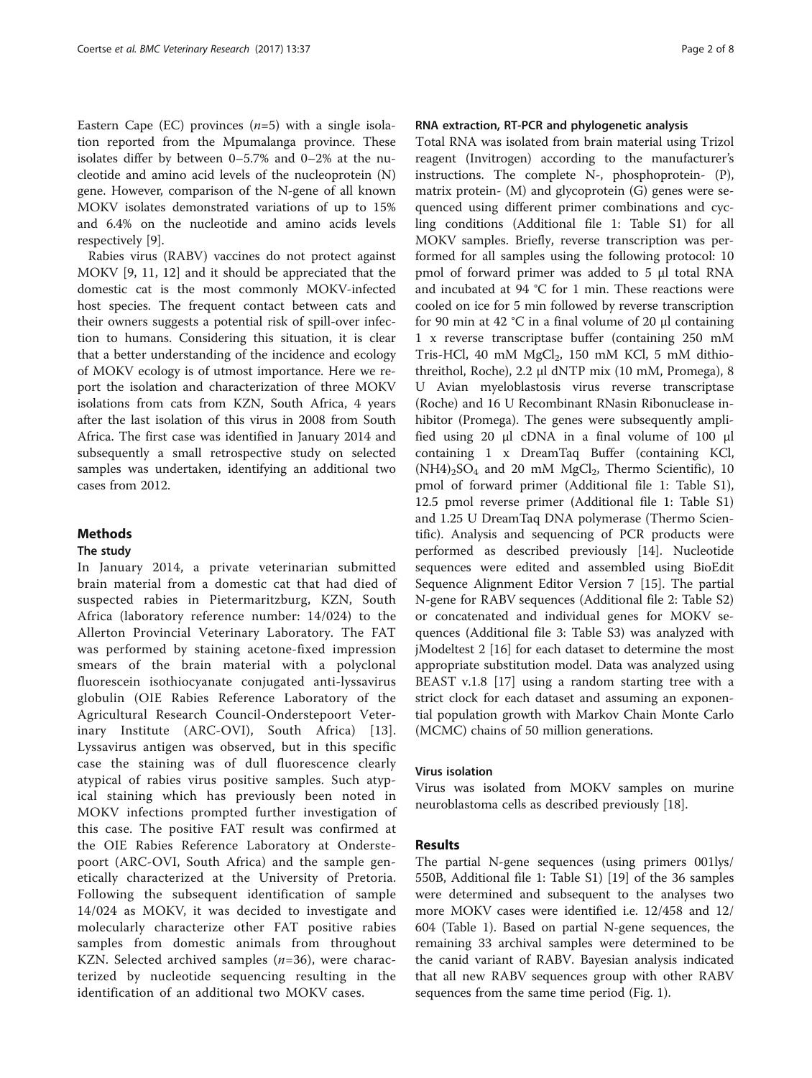Eastern Cape (EC) provinces  $(n=5)$  with a single isolation reported from the Mpumalanga province. These isolates differ by between 0–5.7% and 0–2% at the nucleotide and amino acid levels of the nucleoprotein (N) gene. However, comparison of the N-gene of all known MOKV isolates demonstrated variations of up to 15% and 6.4% on the nucleotide and amino acids levels respectively [\[9](#page-7-0)].

Rabies virus (RABV) vaccines do not protect against MOKV [\[9](#page-7-0), [11, 12](#page-7-0)] and it should be appreciated that the domestic cat is the most commonly MOKV-infected host species. The frequent contact between cats and their owners suggests a potential risk of spill-over infection to humans. Considering this situation, it is clear that a better understanding of the incidence and ecology of MOKV ecology is of utmost importance. Here we report the isolation and characterization of three MOKV isolations from cats from KZN, South Africa, 4 years after the last isolation of this virus in 2008 from South Africa. The first case was identified in January 2014 and subsequently a small retrospective study on selected samples was undertaken, identifying an additional two cases from 2012.

#### Methods

#### The study

In January 2014, a private veterinarian submitted brain material from a domestic cat that had died of suspected rabies in Pietermaritzburg, KZN, South Africa (laboratory reference number: 14/024) to the Allerton Provincial Veterinary Laboratory. The FAT was performed by staining acetone-fixed impression smears of the brain material with a polyclonal fluorescein isothiocyanate conjugated anti-lyssavirus globulin (OIE Rabies Reference Laboratory of the Agricultural Research Council-Onderstepoort Veterinary Institute (ARC-OVI), South Africa) [[13](#page-7-0)]. Lyssavirus antigen was observed, but in this specific case the staining was of dull fluorescence clearly atypical of rabies virus positive samples. Such atypical staining which has previously been noted in MOKV infections prompted further investigation of this case. The positive FAT result was confirmed at the OIE Rabies Reference Laboratory at Onderstepoort (ARC-OVI, South Africa) and the sample genetically characterized at the University of Pretoria. Following the subsequent identification of sample 14/024 as MOKV, it was decided to investigate and molecularly characterize other FAT positive rabies samples from domestic animals from throughout KZN. Selected archived samples  $(n=36)$ , were characterized by nucleotide sequencing resulting in the identification of an additional two MOKV cases.

### RNA extraction, RT-PCR and phylogenetic analysis

Total RNA was isolated from brain material using Trizol reagent (Invitrogen) according to the manufacturer's instructions. The complete N-, phosphoprotein- (P), matrix protein- (M) and glycoprotein (G) genes were sequenced using different primer combinations and cycling conditions (Additional file [1](#page-6-0): Table S1) for all MOKV samples. Briefly, reverse transcription was performed for all samples using the following protocol: 10 pmol of forward primer was added to 5 μl total RNA and incubated at 94 °C for 1 min. These reactions were cooled on ice for 5 min followed by reverse transcription for 90 min at 42 °C in a final volume of 20 μl containing 1 x reverse transcriptase buffer (containing 250 mM Tris-HCl, 40 mM  $MgCl<sub>2</sub>$ , 150 mM KCl, 5 mM dithiothreithol, Roche), 2.2 μl dNTP mix (10 mM, Promega), 8 U Avian myeloblastosis virus reverse transcriptase (Roche) and 16 U Recombinant RNasin Ribonuclease inhibitor (Promega). The genes were subsequently amplified using 20 μl cDNA in a final volume of 100 μl containing 1 x DreamTaq Buffer (containing KCl,  $(NH4)_{2}SO_{4}$  and 20 mM MgCl<sub>2</sub>, Thermo Scientific), 10 pmol of forward primer (Additional file [1:](#page-6-0) Table S1), 12.5 pmol reverse primer (Additional file [1:](#page-6-0) Table S1) and 1.25 U DreamTaq DNA polymerase (Thermo Scientific). Analysis and sequencing of PCR products were performed as described previously [[14\]](#page-7-0). Nucleotide sequences were edited and assembled using BioEdit Sequence Alignment Editor Version 7 [[15\]](#page-7-0). The partial N-gene for RABV sequences (Additional file [2:](#page-6-0) Table S2) or concatenated and individual genes for MOKV sequences (Additional file [3](#page-6-0): Table S3) was analyzed with jModeltest 2 [\[16](#page-7-0)] for each dataset to determine the most appropriate substitution model. Data was analyzed using BEAST v.1.8 [\[17](#page-7-0)] using a random starting tree with a strict clock for each dataset and assuming an exponential population growth with Markov Chain Monte Carlo (MCMC) chains of 50 million generations.

### Virus isolation

Virus was isolated from MOKV samples on murine neuroblastoma cells as described previously [[18\]](#page-7-0).

### Results

The partial N-gene sequences (using primers 001lys/ 550B, Additional file [1](#page-6-0): Table S1) [[19\]](#page-7-0) of the 36 samples were determined and subsequent to the analyses two more MOKV cases were identified i.e. 12/458 and 12/ 604 (Table [1\)](#page-2-0). Based on partial N-gene sequences, the remaining 33 archival samples were determined to be the canid variant of RABV. Bayesian analysis indicated that all new RABV sequences group with other RABV sequences from the same time period (Fig. [1\)](#page-4-0).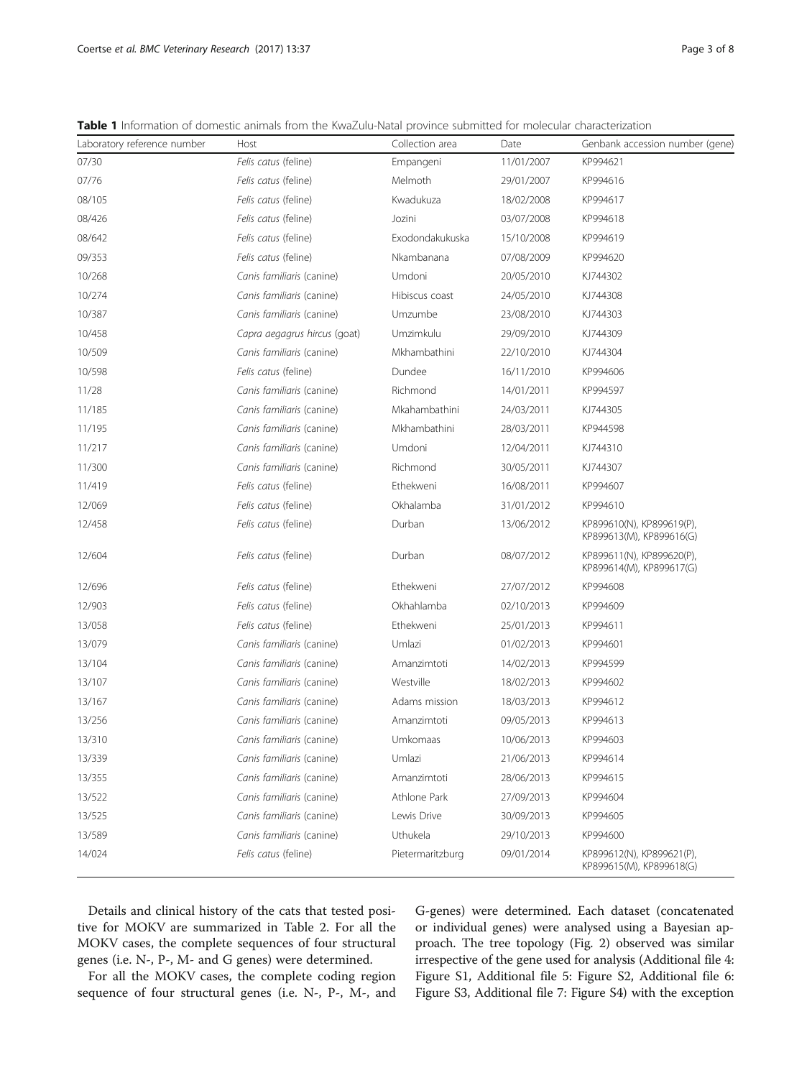| Laboratory reference number | Host                         | Collection area  | Date       | Genbank accession number (gene)                       |
|-----------------------------|------------------------------|------------------|------------|-------------------------------------------------------|
| 07/30                       | Felis catus (feline)         | Empangeni        | 11/01/2007 | KP994621                                              |
| 07/76                       | Felis catus (feline)         | Melmoth          | 29/01/2007 | KP994616                                              |
| 08/105                      | Felis catus (feline)         | Kwadukuza        | 18/02/2008 | KP994617                                              |
| 08/426                      | Felis catus (feline)         | Jozini           | 03/07/2008 | KP994618                                              |
| 08/642                      | Felis catus (feline)         | Exodondakukuska  | 15/10/2008 | KP994619                                              |
| 09/353                      | Felis catus (feline)         | Nkambanana       | 07/08/2009 | KP994620                                              |
| 10/268                      | Canis familiaris (canine)    | Umdoni           | 20/05/2010 | KJ744302                                              |
| 10/274                      | Canis familiaris (canine)    | Hibiscus coast   | 24/05/2010 | KJ744308                                              |
| 10/387                      | Canis familiaris (canine)    | Umzumbe          | 23/08/2010 | KJ744303                                              |
| 10/458                      | Capra aegagrus hircus (goat) | Umzimkulu        | 29/09/2010 | KJ744309                                              |
| 10/509                      | Canis familiaris (canine)    | Mkhambathini     | 22/10/2010 | KJ744304                                              |
| 10/598                      | Felis catus (feline)         | Dundee           | 16/11/2010 | KP994606                                              |
| 11/28                       | Canis familiaris (canine)    | Richmond         | 14/01/2011 | KP994597                                              |
| 11/185                      | Canis familiaris (canine)    | Mkahambathini    | 24/03/2011 | KJ744305                                              |
| 11/195                      | Canis familiaris (canine)    | Mkhambathini     | 28/03/2011 | KP944598                                              |
| 11/217                      | Canis familiaris (canine)    | Umdoni           | 12/04/2011 | KJ744310                                              |
| 11/300                      | Canis familiaris (canine)    | Richmond         | 30/05/2011 | KJ744307                                              |
| 11/419                      | Felis catus (feline)         | Ethekweni        | 16/08/2011 | KP994607                                              |
| 12/069                      | Felis catus (feline)         | Okhalamba        | 31/01/2012 | KP994610                                              |
| 12/458                      | Felis catus (feline)         | Durban           | 13/06/2012 | KP899610(N), KP899619(P),<br>KP899613(M), KP899616(G) |
| 12/604                      | Felis catus (feline)         | Durban           | 08/07/2012 | KP899611(N), KP899620(P),<br>KP899614(M), KP899617(G) |
| 12/696                      | Felis catus (feline)         | Ethekweni        | 27/07/2012 | KP994608                                              |
| 12/903                      | Felis catus (feline)         | Okhahlamba       | 02/10/2013 | KP994609                                              |
| 13/058                      | Felis catus (feline)         | Ethekweni        | 25/01/2013 | KP994611                                              |
| 13/079                      | Canis familiaris (canine)    | Umlazi           | 01/02/2013 | KP994601                                              |
| 13/104                      | Canis familiaris (canine)    | Amanzimtoti      | 14/02/2013 | KP994599                                              |
| 13/107                      | Canis familiaris (canine)    | Westville        | 18/02/2013 | KP994602                                              |
| 13/167                      | Canis familiaris (canine)    | Adams mission    | 18/03/2013 | KP994612                                              |
| 13/256                      | Canis familiaris (canine)    | Amanzimtoti      | 09/05/2013 | KP994613                                              |
| 13/310                      | Canis familiaris (canine)    | Umkomaas         | 10/06/2013 | KP994603                                              |
| 13/339                      | Canis familiaris (canine)    | Umlazi           | 21/06/2013 | KP994614                                              |
| 13/355                      | Canis familiaris (canine)    | Amanzimtoti      | 28/06/2013 | KP994615                                              |
| 13/522                      | Canis familiaris (canine)    | Athlone Park     | 27/09/2013 | KP994604                                              |
| 13/525                      | Canis familiaris (canine)    | Lewis Drive      | 30/09/2013 | KP994605                                              |
| 13/589                      | Canis familiaris (canine)    | Uthukela         | 29/10/2013 | KP994600                                              |
| 14/024                      | Felis catus (feline)         | Pietermaritzburg | 09/01/2014 | KP899612(N), KP899621(P),<br>KP899615(M), KP899618(G) |

<span id="page-2-0"></span>Table 1 Information of domestic animals from the KwaZulu-Natal province submitted for molecular characterization

Details and clinical history of the cats that tested positive for MOKV are summarized in Table [2](#page-4-0). For all the MOKV cases, the complete sequences of four structural genes (i.e. N-, P-, M- and G genes) were determined.

For all the MOKV cases, the complete coding region sequence of four structural genes (i.e. N-, P-, M-, and G-genes) were determined. Each dataset (concatenated or individual genes) were analysed using a Bayesian approach. The tree topology (Fig. [2](#page-5-0)) observed was similar irrespective of the gene used for analysis (Additional file [4](#page-6-0): Figure S1, Additional file [5](#page-6-0): Figure S2, Additional file [6](#page-6-0): Figure S3, Additional file [7:](#page-6-0) Figure S4) with the exception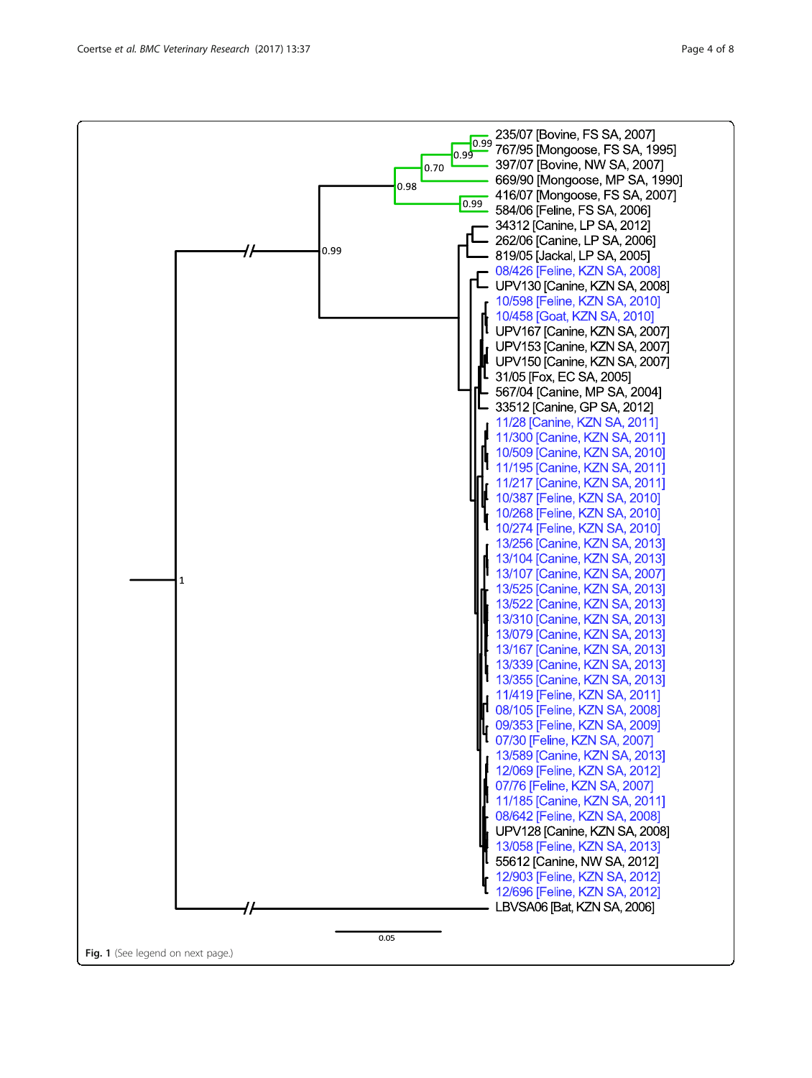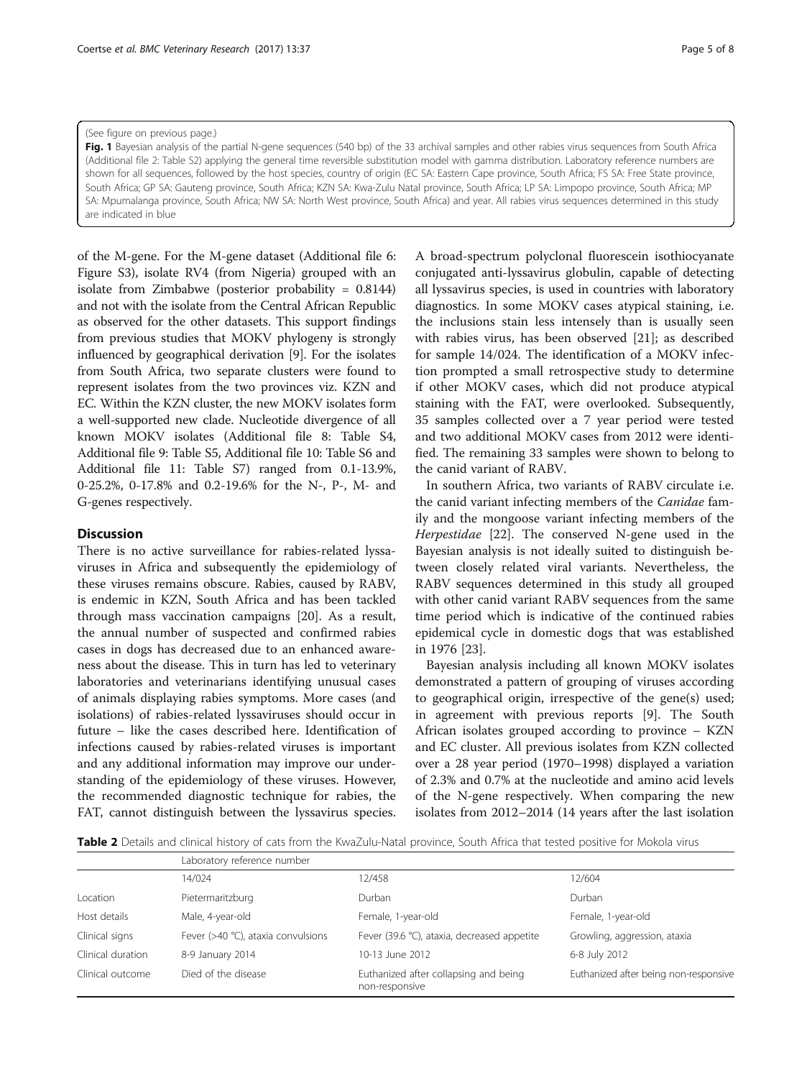#### <span id="page-4-0"></span>(See figure on previous page.)

Fig. 1 Bayesian analysis of the partial N-gene sequences (540 bp) of the 33 archival samples and other rabies virus sequences from South Africa (Additional file [2](#page-6-0): Table S2) applying the general time reversible substitution model with gamma distribution. Laboratory reference numbers are shown for all sequences, followed by the host species, country of origin (EC SA: Eastern Cape province, South Africa; FS SA: Free State province, South Africa; GP SA: Gauteng province, South Africa; KZN SA: Kwa-Zulu Natal province, South Africa; LP SA: Limpopo province, South Africa; MP SA: Mpumalanga province, South Africa; NW SA: North West province, South Africa) and year. All rabies virus sequences determined in this study are indicated in blue

of the M-gene. For the M-gene dataset (Additional file [6](#page-6-0): Figure S3), isolate RV4 (from Nigeria) grouped with an isolate from Zimbabwe (posterior probability = 0.8144) and not with the isolate from the Central African Republic as observed for the other datasets. This support findings from previous studies that MOKV phylogeny is strongly influenced by geographical derivation [\[9\]](#page-7-0). For the isolates from South Africa, two separate clusters were found to represent isolates from the two provinces viz. KZN and EC. Within the KZN cluster, the new MOKV isolates form a well-supported new clade. Nucleotide divergence of all known MOKV isolates (Additional file [8:](#page-6-0) Table S4, Additional file [9](#page-6-0): Table S5, Additional file [10](#page-6-0): Table S6 and Additional file [11:](#page-6-0) Table S7) ranged from 0.1-13.9%, 0-25.2%, 0-17.8% and 0.2-19.6% for the N-, P-, M- and G-genes respectively.

### **Discussion**

There is no active surveillance for rabies-related lyssaviruses in Africa and subsequently the epidemiology of these viruses remains obscure. Rabies, caused by RABV, is endemic in KZN, South Africa and has been tackled through mass vaccination campaigns [[20\]](#page-7-0). As a result, the annual number of suspected and confirmed rabies cases in dogs has decreased due to an enhanced awareness about the disease. This in turn has led to veterinary laboratories and veterinarians identifying unusual cases of animals displaying rabies symptoms. More cases (and isolations) of rabies-related lyssaviruses should occur in future – like the cases described here. Identification of infections caused by rabies-related viruses is important and any additional information may improve our understanding of the epidemiology of these viruses. However, the recommended diagnostic technique for rabies, the FAT, cannot distinguish between the lyssavirus species.

A broad-spectrum polyclonal fluorescein isothiocyanate conjugated anti-lyssavirus globulin, capable of detecting all lyssavirus species, is used in countries with laboratory diagnostics. In some MOKV cases atypical staining, i.e. the inclusions stain less intensely than is usually seen with rabies virus, has been observed [[21](#page-7-0)]; as described for sample 14/024. The identification of a MOKV infection prompted a small retrospective study to determine if other MOKV cases, which did not produce atypical staining with the FAT, were overlooked. Subsequently, 35 samples collected over a 7 year period were tested and two additional MOKV cases from 2012 were identified. The remaining 33 samples were shown to belong to the canid variant of RABV.

In southern Africa, two variants of RABV circulate i.e. the canid variant infecting members of the Canidae family and the mongoose variant infecting members of the Herpestidae [\[22\]](#page-7-0). The conserved N-gene used in the Bayesian analysis is not ideally suited to distinguish between closely related viral variants. Nevertheless, the RABV sequences determined in this study all grouped with other canid variant RABV sequences from the same time period which is indicative of the continued rabies epidemical cycle in domestic dogs that was established in 1976 [\[23](#page-7-0)].

Bayesian analysis including all known MOKV isolates demonstrated a pattern of grouping of viruses according to geographical origin, irrespective of the gene(s) used; in agreement with previous reports [[9](#page-7-0)]. The South African isolates grouped according to province – KZN and EC cluster. All previous isolates from KZN collected over a 28 year period (1970–1998) displayed a variation of 2.3% and 0.7% at the nucleotide and amino acid levels of the N-gene respectively. When comparing the new isolates from 2012–2014 (14 years after the last isolation

Table 2 Details and clinical history of cats from the KwaZulu-Natal province, South Africa that tested positive for Mokola virus

|                   | Laboratory reference number        |                                                         |                                       |  |  |
|-------------------|------------------------------------|---------------------------------------------------------|---------------------------------------|--|--|
|                   | 14/024                             | 12/458                                                  | 12/604                                |  |  |
| Location          | Pietermaritzburg                   | Durban                                                  | Durban                                |  |  |
| Host details      | Male, 4-year-old                   | Female, 1-year-old                                      | Female, 1-year-old                    |  |  |
| Clinical signs    | Fever (>40 °C), ataxia convulsions | Fever (39.6 °C), ataxia, decreased appetite             | Growling, aggression, ataxia          |  |  |
| Clinical duration | 8-9 January 2014                   | 10-13 June 2012                                         | 6-8 July 2012                         |  |  |
| Clinical outcome  | Died of the disease                | Euthanized after collapsing and being<br>non-responsive | Euthanized after being non-responsive |  |  |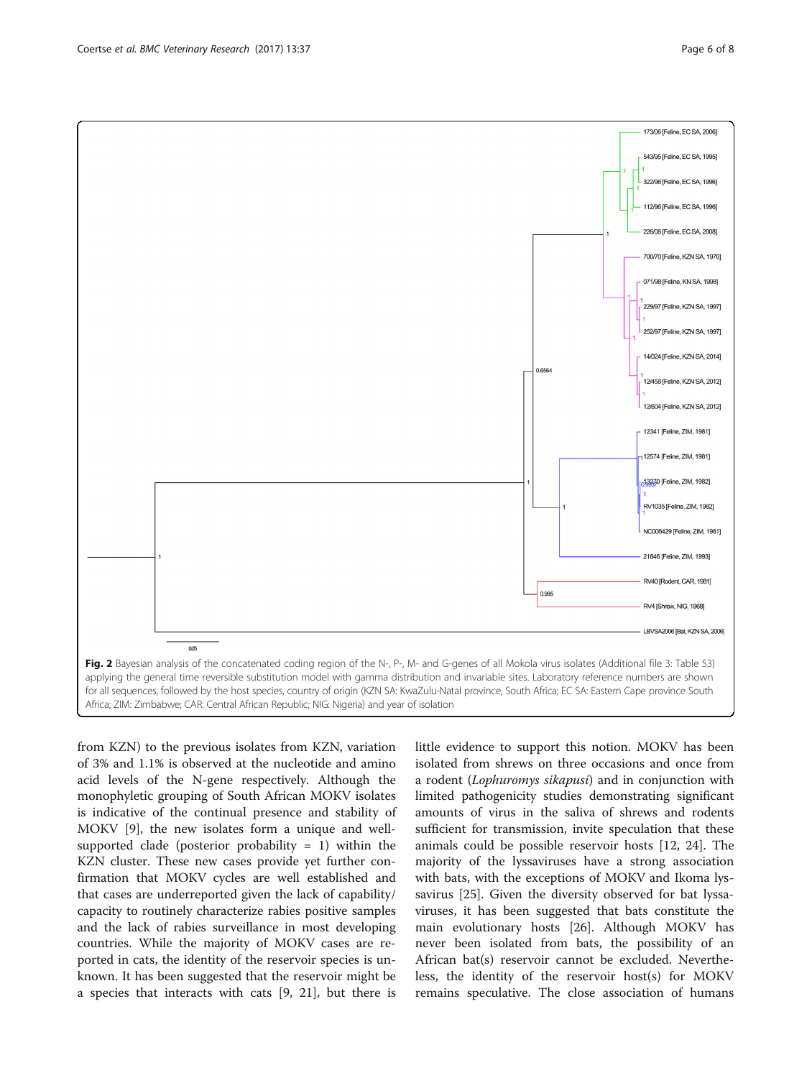<span id="page-5-0"></span>

from KZN) to the previous isolates from KZN, variation of 3% and 1.1% is observed at the nucleotide and amino acid levels of the N-gene respectively. Although the monophyletic grouping of South African MOKV isolates is indicative of the continual presence and stability of MOKV [[9\]](#page-7-0), the new isolates form a unique and wellsupported clade (posterior probability  $= 1$ ) within the KZN cluster. These new cases provide yet further confirmation that MOKV cycles are well established and that cases are underreported given the lack of capability/ capacity to routinely characterize rabies positive samples and the lack of rabies surveillance in most developing countries. While the majority of MOKV cases are reported in cats, the identity of the reservoir species is unknown. It has been suggested that the reservoir might be a species that interacts with cats [[9, 21](#page-7-0)], but there is

little evidence to support this notion. MOKV has been isolated from shrews on three occasions and once from a rodent (Lophuromys sikapusi) and in conjunction with limited pathogenicity studies demonstrating significant amounts of virus in the saliva of shrews and rodents sufficient for transmission, invite speculation that these animals could be possible reservoir hosts [[12, 24\]](#page-7-0). The majority of the lyssaviruses have a strong association with bats, with the exceptions of MOKV and Ikoma lyssavirus [[25\]](#page-7-0). Given the diversity observed for bat lyssaviruses, it has been suggested that bats constitute the main evolutionary hosts [[26\]](#page-7-0). Although MOKV has never been isolated from bats, the possibility of an African bat(s) reservoir cannot be excluded. Nevertheless, the identity of the reservoir host(s) for MOKV remains speculative. The close association of humans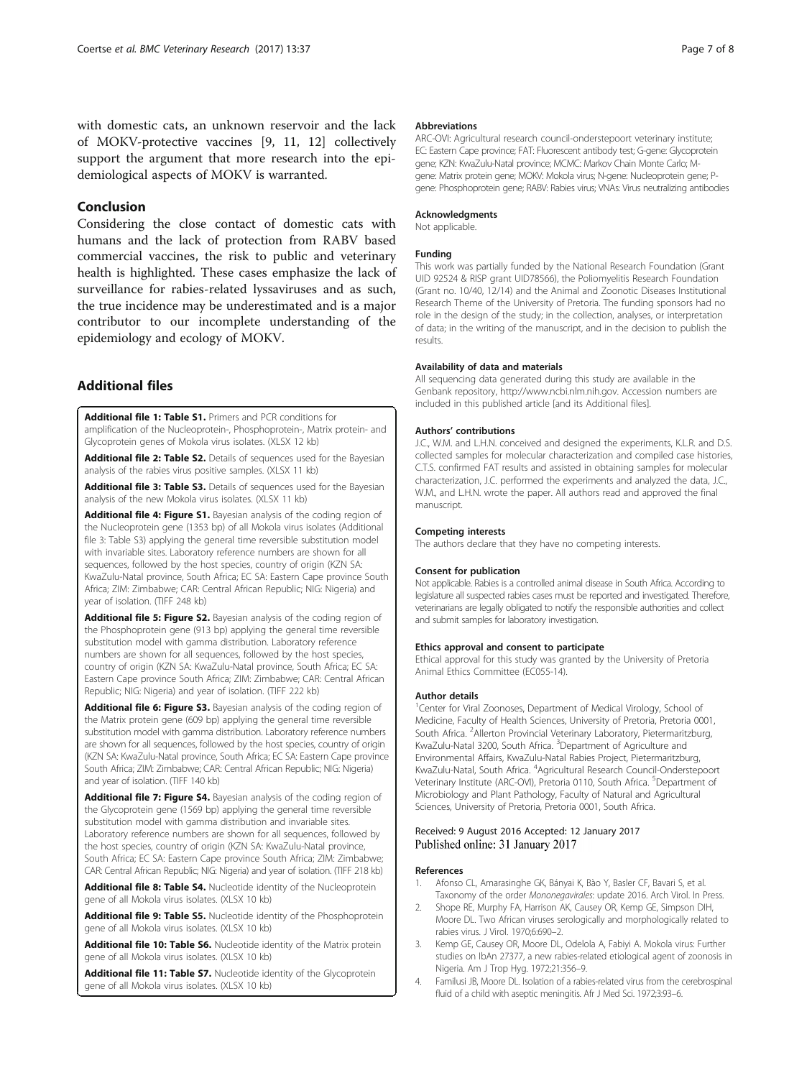<span id="page-6-0"></span>with domestic cats, an unknown reservoir and the lack of MOKV-protective vaccines [[9, 11, 12\]](#page-7-0) collectively support the argument that more research into the epidemiological aspects of MOKV is warranted.

### Conclusion

Considering the close contact of domestic cats with humans and the lack of protection from RABV based commercial vaccines, the risk to public and veterinary health is highlighted. These cases emphasize the lack of surveillance for rabies-related lyssaviruses and as such, the true incidence may be underestimated and is a major contributor to our incomplete understanding of the epidemiology and ecology of MOKV.

### Additional files

[Additional file 1: Table S1.](dx.doi.org/10.1186/s12917-017-0948-0) Primers and PCR conditions for amplification of the Nucleoprotein-, Phosphoprotein-, Matrix protein- and Glycoprotein genes of Mokola virus isolates. (XLSX 12 kb)

[Additional file 2: Table S2.](dx.doi.org/10.1186/s12917-017-0948-0) Details of sequences used for the Bayesian analysis of the rabies virus positive samples. (XLSX 11 kb)

[Additional file 3: Table S3.](dx.doi.org/10.1186/s12917-017-0948-0) Details of sequences used for the Bayesian analysis of the new Mokola virus isolates. (XLSX 11 kb)

[Additional file 4: Figure S1.](dx.doi.org/10.1186/s12917-017-0948-0) Bayesian analysis of the coding region of the Nucleoprotein gene (1353 bp) of all Mokola virus isolates (Additional file 3: Table S3) applying the general time reversible substitution model with invariable sites. Laboratory reference numbers are shown for all sequences, followed by the host species, country of origin (KZN SA: KwaZulu-Natal province, South Africa; EC SA: Eastern Cape province South Africa; ZIM: Zimbabwe; CAR: Central African Republic; NIG: Nigeria) and year of isolation. (TIFF 248 kb)

[Additional file 5: Figure S2.](dx.doi.org/10.1186/s12917-017-0948-0) Bayesian analysis of the coding region of the Phosphoprotein gene (913 bp) applying the general time reversible substitution model with gamma distribution. Laboratory reference numbers are shown for all sequences, followed by the host species, country of origin (KZN SA: KwaZulu-Natal province, South Africa; EC SA: Eastern Cape province South Africa; ZIM: Zimbabwe; CAR: Central African Republic; NIG: Nigeria) and year of isolation. (TIFF 222 kb)

[Additional file 6: Figure S3.](dx.doi.org/10.1186/s12917-017-0948-0) Bayesian analysis of the coding region of the Matrix protein gene (609 bp) applying the general time reversible substitution model with gamma distribution. Laboratory reference numbers are shown for all sequences, followed by the host species, country of origin (KZN SA: KwaZulu-Natal province, South Africa; EC SA: Eastern Cape province South Africa; ZIM: Zimbabwe; CAR: Central African Republic; NIG: Nigeria) and year of isolation. (TIFF 140 kb)

[Additional file 7: Figure S4.](dx.doi.org/10.1186/s12917-017-0948-0) Bayesian analysis of the coding region of the Glycoprotein gene (1569 bp) applying the general time reversible substitution model with gamma distribution and invariable sites. Laboratory reference numbers are shown for all sequences, followed by the host species, country of origin (KZN SA: KwaZulu-Natal province, South Africa; EC SA: Eastern Cape province South Africa; ZIM: Zimbabwe; CAR: Central African Republic; NIG: Nigeria) and year of isolation. (TIFF 218 kb)

[Additional file 8: Table S4.](dx.doi.org/10.1186/s12917-017-0948-0) Nucleotide identity of the Nucleoprotein gene of all Mokola virus isolates. (XLSX 10 kb)

[Additional file 9: Table S5.](dx.doi.org/10.1186/s12917-017-0948-0) Nucleotide identity of the Phosphoprotein gene of all Mokola virus isolates. (XLSX 10 kb)

[Additional file 10: Table S6.](dx.doi.org/10.1186/s12917-017-0948-0) Nucleotide identity of the Matrix protein gene of all Mokola virus isolates. (XLSX 10 kb)

[Additional file 11: Table S7.](dx.doi.org/10.1186/s12917-017-0948-0) Nucleotide identity of the Glycoprotein gene of all Mokola virus isolates. (XLSX 10 kb)

#### Abbreviations

ARC-OVI: Agricultural research council-onderstepoort veterinary institute; EC: Eastern Cape province; FAT: Fluorescent antibody test; G-gene: Glycoprotein gene; KZN: KwaZulu-Natal province; MCMC: Markov Chain Monte Carlo; Mgene: Matrix protein gene; MOKV: Mokola virus; N-gene: Nucleoprotein gene; Pgene: Phosphoprotein gene; RABV: Rabies virus; VNAs: Virus neutralizing antibodies

### Acknowledgments

Not applicable.

#### Funding

This work was partially funded by the National Research Foundation (Grant UID 92524 & RISP grant UID78566), the Poliomyelitis Research Foundation (Grant no. 10/40, 12/14) and the Animal and Zoonotic Diseases Institutional Research Theme of the University of Pretoria. The funding sponsors had no role in the design of the study; in the collection, analyses, or interpretation of data; in the writing of the manuscript, and in the decision to publish the results.

#### Availability of data and materials

All sequencing data generated during this study are available in the Genbank repository, [http://www.ncbi.nlm.nih.gov.](http://www.ncbi.nlm.nih.gov) Accession numbers are included in this published article [and its Additional files].

#### Authors' contributions

J.C., W.M. and L.H.N. conceived and designed the experiments, K.L.R. and D.S. collected samples for molecular characterization and compiled case histories, C.T.S. confirmed FAT results and assisted in obtaining samples for molecular characterization, J.C. performed the experiments and analyzed the data, J.C., W.M., and L.H.N. wrote the paper. All authors read and approved the final manuscript.

#### Competing interests

The authors declare that they have no competing interests.

#### Consent for publication

Not applicable. Rabies is a controlled animal disease in South Africa. According to legislature all suspected rabies cases must be reported and investigated. Therefore, veterinarians are legally obligated to notify the responsible authorities and collect and submit samples for laboratory investigation.

#### Ethics approval and consent to participate

Ethical approval for this study was granted by the University of Pretoria Animal Ethics Committee (EC055-14).

#### Author details

<sup>1</sup> Center for Viral Zoonoses, Department of Medical Virology, School of Medicine, Faculty of Health Sciences, University of Pretoria, Pretoria 0001, South Africa. <sup>2</sup> Allerton Provincial Veterinary Laboratory, Pietermaritzburg, KwaZulu-Natal 3200, South Africa. <sup>3</sup>Department of Agriculture and Environmental Affairs, KwaZulu-Natal Rabies Project, Pietermaritzburg, KwaZulu-Natal, South Africa. <sup>4</sup>Agricultural Research Council-Onderstepoort Veterinary Institute (ARC-OVI), Pretoria 0110, South Africa. <sup>5</sup>Department of Microbiology and Plant Pathology, Faculty of Natural and Agricultural Sciences, University of Pretoria, Pretoria 0001, South Africa.

#### Received: 9 August 2016 Accepted: 12 January 2017 Published online: 31 January 2017

#### References

- Afonso CL, Amarasinghe GK, Bányai K, Bào Y, Basler CF, Bavari S, et al. Taxonomy of the order Mononegavirales: update 2016. Arch Virol. In Press.
- 2. Shope RE, Murphy FA, Harrison AK, Causey OR, Kemp GE, Simpson DIH, Moore DL. Two African viruses serologically and morphologically related to rabies virus. J Virol. 1970;6:690–2.
- 3. Kemp GE, Causey OR, Moore DL, Odelola A, Fabiyi A. Mokola virus: Further studies on IbAn 27377, a new rabies-related etiological agent of zoonosis in Nigeria. Am J Trop Hyg. 1972;21:356–9.
- 4. Familusi JB, Moore DL. Isolation of a rabies-related virus from the cerebrospinal fluid of a child with aseptic meningitis. Afr J Med Sci. 1972;3:93–6.